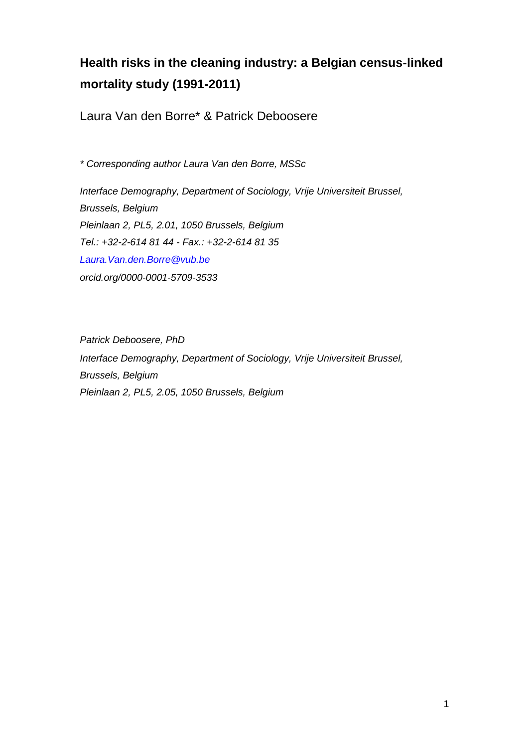# **Health risks in the cleaning industry: a Belgian census-linked mortality study (1991-2011)**

Laura Van den Borre\* & Patrick Deboosere

*\* Corresponding author Laura Van den Borre, MSSc* 

*Interface Demography, Department of Sociology, Vrije Universiteit Brussel, Brussels, Belgium Pleinlaan 2, PL5, 2.01, 1050 Brussels, Belgium Tel.: +32-2-614 81 44 - Fax.: +32-2-614 81 35 Laura.Van.den.Borre@vub.be orcid.org/0000-0001-5709-3533*

*Patrick Deboosere, PhD Interface Demography, Department of Sociology, Vrije Universiteit Brussel, Brussels, Belgium Pleinlaan 2, PL5, 2.05, 1050 Brussels, Belgium*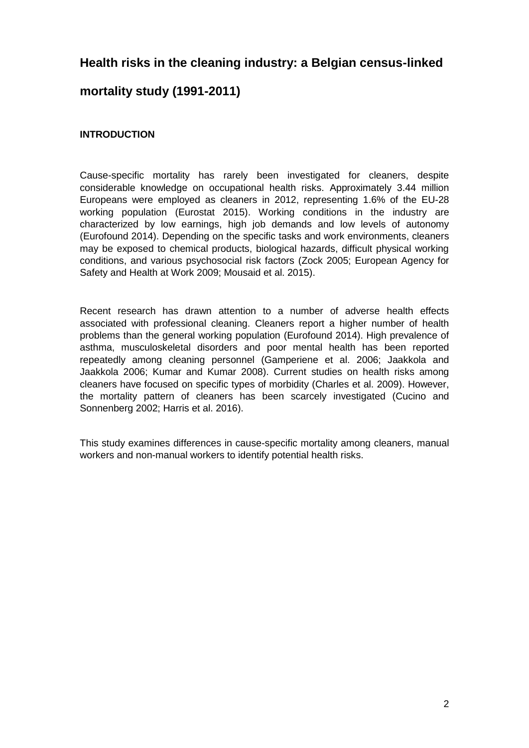# **Health risks in the cleaning industry: a Belgian census-linked**

# **mortality study (1991-2011)**

# **INTRODUCTION**

Cause-specific mortality has rarely been investigated for cleaners, despite considerable knowledge on occupational health risks. Approximately 3.44 million Europeans were employed as cleaners in 2012, representing 1.6% of the EU-28 working population (Eurostat 2015). Working conditions in the industry are characterized by low earnings, high job demands and low levels of autonomy (Eurofound 2014). Depending on the specific tasks and work environments, cleaners may be exposed to chemical products, biological hazards, difficult physical working conditions, and various psychosocial risk factors (Zock 2005; European Agency for Safety and Health at Work 2009; Mousaid et al. 2015).

Recent research has drawn attention to a number of adverse health effects associated with professional cleaning. Cleaners report a higher number of health problems than the general working population (Eurofound 2014). High prevalence of asthma, musculoskeletal disorders and poor mental health has been reported repeatedly among cleaning personnel (Gamperiene et al. 2006; Jaakkola and Jaakkola 2006; Kumar and Kumar 2008). Current studies on health risks among cleaners have focused on specific types of morbidity (Charles et al. 2009). However, the mortality pattern of cleaners has been scarcely investigated (Cucino and Sonnenberg 2002; Harris et al. 2016).

This study examines differences in cause-specific mortality among cleaners, manual workers and non-manual workers to identify potential health risks.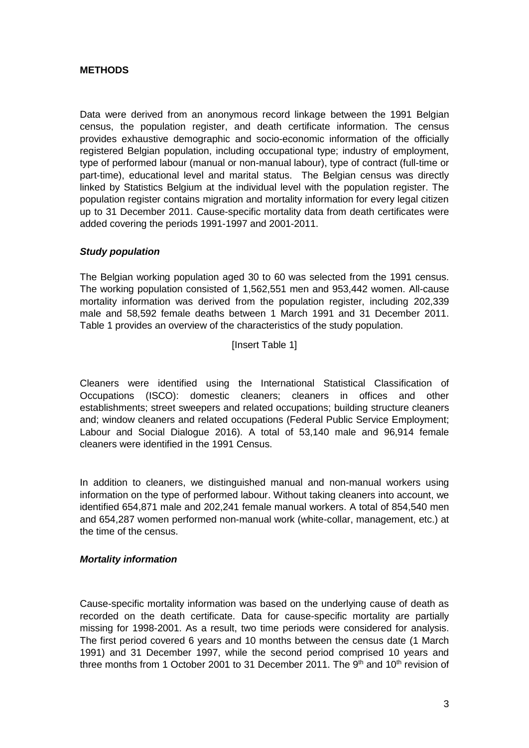#### **METHODS**

Data were derived from an anonymous record linkage between the 1991 Belgian census, the population register, and death certificate information. The census provides exhaustive demographic and socio-economic information of the officially registered Belgian population, including occupational type; industry of employment, type of performed labour (manual or non-manual labour), type of contract (full-time or part-time), educational level and marital status. The Belgian census was directly linked by Statistics Belgium at the individual level with the population register. The population register contains migration and mortality information for every legal citizen up to 31 December 2011. Cause-specific mortality data from death certificates were added covering the periods 1991-1997 and 2001-2011.

#### *Study population*

The Belgian working population aged 30 to 60 was selected from the 1991 census. The working population consisted of 1,562,551 men and 953,442 women. All-cause mortality information was derived from the population register, including 202,339 male and 58,592 female deaths between 1 March 1991 and 31 December 2011. Table 1 provides an overview of the characteristics of the study population.

[Insert Table 1]

Cleaners were identified using the International Statistical Classification of Occupations (ISCO): domestic cleaners; cleaners in offices and other establishments; street sweepers and related occupations; building structure cleaners and; window cleaners and related occupations (Federal Public Service Employment; Labour and Social Dialogue 2016). A total of 53,140 male and 96,914 female cleaners were identified in the 1991 Census.

In addition to cleaners, we distinguished manual and non-manual workers using information on the type of performed labour. Without taking cleaners into account, we identified 654,871 male and 202,241 female manual workers. A total of 854,540 men and 654,287 women performed non-manual work (white-collar, management, etc.) at the time of the census.

#### *Mortality information*

Cause-specific mortality information was based on the underlying cause of death as recorded on the death certificate. Data for cause-specific mortality are partially missing for 1998-2001. As a result, two time periods were considered for analysis. The first period covered 6 years and 10 months between the census date (1 March 1991) and 31 December 1997, while the second period comprised 10 years and three months from 1 October 2001 to 31 December 2011. The  $9<sup>th</sup>$  and 10<sup>th</sup> revision of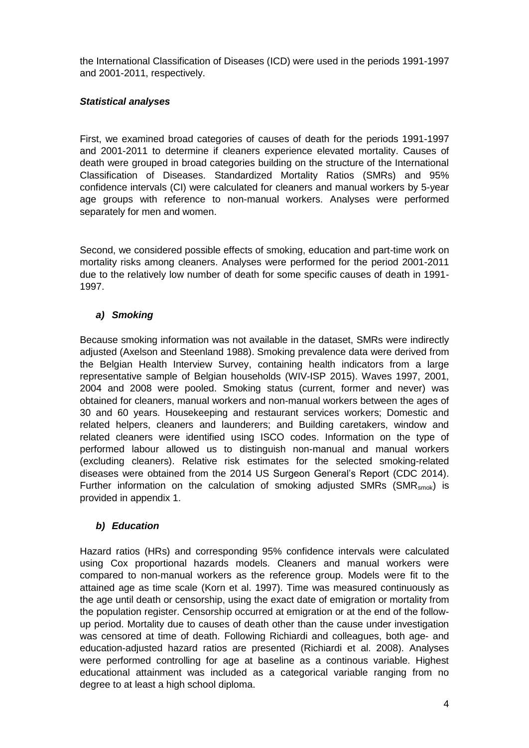the International Classification of Diseases (ICD) were used in the periods 1991-1997 and 2001-2011, respectively.

#### *Statistical analyses*

First, we examined broad categories of causes of death for the periods 1991-1997 and 2001-2011 to determine if cleaners experience elevated mortality. Causes of death were grouped in broad categories building on the structure of the International Classification of Diseases. Standardized Mortality Ratios (SMRs) and 95% confidence intervals (CI) were calculated for cleaners and manual workers by 5-year age groups with reference to non-manual workers. Analyses were performed separately for men and women.

Second, we considered possible effects of smoking, education and part-time work on mortality risks among cleaners. Analyses were performed for the period 2001-2011 due to the relatively low number of death for some specific causes of death in 1991- 1997.

# *a) Smoking*

Because smoking information was not available in the dataset, SMRs were indirectly adjusted (Axelson and Steenland 1988). Smoking prevalence data were derived from the Belgian Health Interview Survey, containing health indicators from a large representative sample of Belgian households (WIV-ISP 2015). Waves 1997, 2001, 2004 and 2008 were pooled. Smoking status (current, former and never) was obtained for cleaners, manual workers and non-manual workers between the ages of 30 and 60 years. Housekeeping and restaurant services workers; Domestic and related helpers, cleaners and launderers; and Building caretakers, window and related cleaners were identified using ISCO codes. Information on the type of performed labour allowed us to distinguish non-manual and manual workers (excluding cleaners). Relative risk estimates for the selected smoking-related diseases were obtained from the 2014 US Surgeon General's Report (CDC 2014). Further information on the calculation of smoking adjusted SMRs  $(SMR<sub>smok</sub>)$  is provided in appendix 1.

# *b) Education*

Hazard ratios (HRs) and corresponding 95% confidence intervals were calculated using Cox proportional hazards models. Cleaners and manual workers were compared to non-manual workers as the reference group. Models were fit to the attained age as time scale (Korn et al. 1997). Time was measured continuously as the age until death or censorship, using the exact date of emigration or mortality from the population register. Censorship occurred at emigration or at the end of the followup period. Mortality due to causes of death other than the cause under investigation was censored at time of death. Following Richiardi and colleagues, both age- and education-adjusted hazard ratios are presented (Richiardi et al. 2008). Analyses were performed controlling for age at baseline as a continous variable. Highest educational attainment was included as a categorical variable ranging from no degree to at least a high school diploma.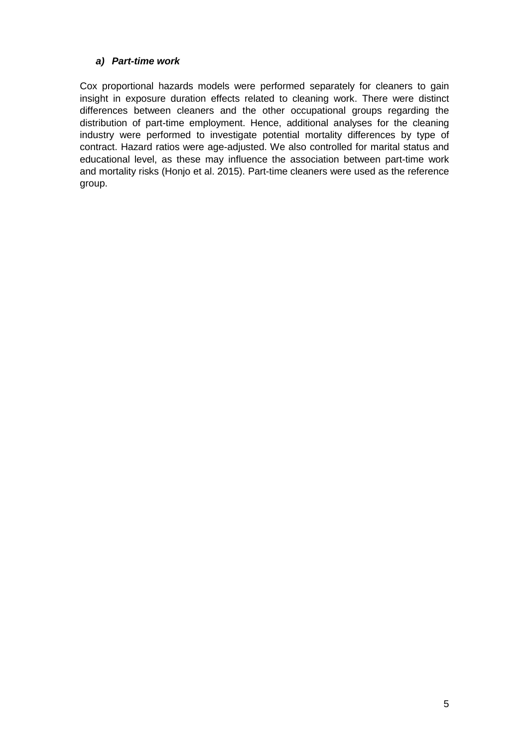# *a) Part-time work*

Cox proportional hazards models were performed separately for cleaners to gain insight in exposure duration effects related to cleaning work. There were distinct differences between cleaners and the other occupational groups regarding the distribution of part-time employment. Hence, additional analyses for the cleaning industry were performed to investigate potential mortality differences by type of contract. Hazard ratios were age-adjusted. We also controlled for marital status and educational level, as these may influence the association between part-time work and mortality risks (Honjo et al. 2015). Part-time cleaners were used as the reference group.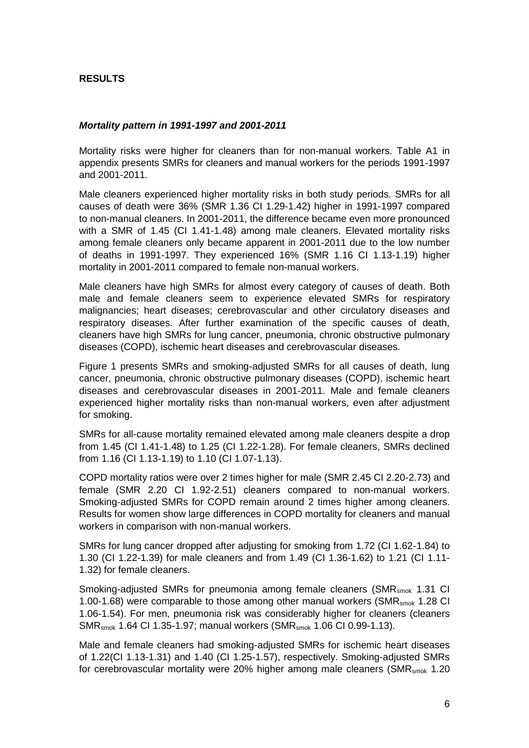#### **RESULTS**

#### *Mortality pattern in 1991-1997 and 2001-2011*

Mortality risks were higher for cleaners than for non-manual workers. Table A1 in appendix presents SMRs for cleaners and manual workers for the periods 1991-1997 and 2001-2011.

Male cleaners experienced higher mortality risks in both study periods. SMRs for all causes of death were 36% (SMR 1.36 CI 1.29-1.42) higher in 1991-1997 compared to non-manual cleaners. In 2001-2011, the difference became even more pronounced with a SMR of 1.45 (CI 1.41-1.48) among male cleaners. Elevated mortality risks among female cleaners only became apparent in 2001-2011 due to the low number of deaths in 1991-1997. They experienced 16% (SMR 1.16 CI 1.13-1.19) higher mortality in 2001-2011 compared to female non-manual workers.

Male cleaners have high SMRs for almost every category of causes of death. Both male and female cleaners seem to experience elevated SMRs for respiratory malignancies; heart diseases; cerebrovascular and other circulatory diseases and respiratory diseases. After further examination of the specific causes of death, cleaners have high SMRs for lung cancer, pneumonia, chronic obstructive pulmonary diseases (COPD), ischemic heart diseases and cerebrovascular diseases.

Figure 1 presents SMRs and smoking-adjusted SMRs for all causes of death, lung cancer, pneumonia, chronic obstructive pulmonary diseases (COPD), ischemic heart diseases and cerebrovascular diseases in 2001-2011. Male and female cleaners experienced higher mortality risks than non-manual workers, even after adjustment for smoking.

SMRs for all-cause mortality remained elevated among male cleaners despite a drop from 1.45 (CI 1.41-1.48) to 1.25 (CI 1.22-1.28). For female cleaners, SMRs declined from 1.16 (CI 1.13-1.19) to 1.10 (CI 1.07-1.13).

COPD mortality ratios were over 2 times higher for male (SMR 2.45 CI 2.20-2.73) and female (SMR 2.20 CI 1.92-2.51) cleaners compared to non-manual workers. Smoking-adjusted SMRs for COPD remain around 2 times higher among cleaners. Results for women show large differences in COPD mortality for cleaners and manual workers in comparison with non-manual workers.

SMRs for lung cancer dropped after adjusting for smoking from 1.72 (CI 1.62-1.84) to 1.30 (CI 1.22-1.39) for male cleaners and from 1.49 (CI 1.36-1.62) to 1.21 (CI 1.11- 1.32) for female cleaners.

Smoking-adjusted SMRs for pneumonia among female cleaners (SMR<sub>smok</sub> 1.31 CI 1.00-1.68) were comparable to those among other manual workers (SMR $_{\rm{smok}}$  1.28 CI 1.06-1.54). For men, pneumonia risk was considerably higher for cleaners (cleaners SMRsmok 1.64 CI 1.35-1.97; manual workers (SMRsmok 1.06 CI 0.99-1.13).

Male and female cleaners had smoking-adjusted SMRs for ischemic heart diseases of 1.22(CI 1.13-1.31) and 1.40 (CI 1.25-1.57), respectively. Smoking-adjusted SMRs for cerebrovascular mortality were 20% higher among male cleaners ( $\text{SMR}_{\text{smok}}$  1.20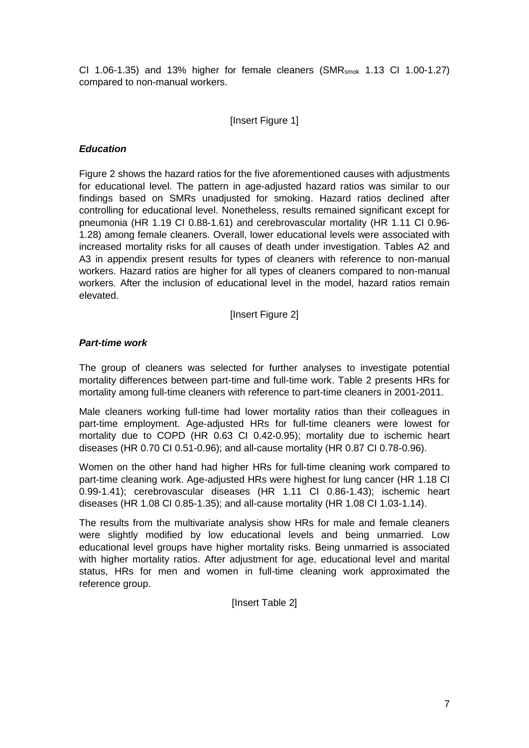CI 1.06-1.35) and 13% higher for female cleaners (SMR<sub>smok</sub> 1.13 CI 1.00-1.27) compared to non-manual workers.

#### [Insert Figure 1]

#### *Education*

Figure 2 shows the hazard ratios for the five aforementioned causes with adjustments for educational level. The pattern in age-adjusted hazard ratios was similar to our findings based on SMRs unadjusted for smoking. Hazard ratios declined after controlling for educational level. Nonetheless, results remained significant except for pneumonia (HR 1.19 CI 0.88-1.61) and cerebrovascular mortality (HR 1.11 CI 0.96- 1.28) among female cleaners. Overall, lower educational levels were associated with increased mortality risks for all causes of death under investigation. Tables A2 and A3 in appendix present results for types of cleaners with reference to non-manual workers. Hazard ratios are higher for all types of cleaners compared to non-manual workers. After the inclusion of educational level in the model, hazard ratios remain elevated.

[Insert Figure 2]

#### *Part-time work*

The group of cleaners was selected for further analyses to investigate potential mortality differences between part-time and full-time work. Table 2 presents HRs for mortality among full-time cleaners with reference to part-time cleaners in 2001-2011.

Male cleaners working full-time had lower mortality ratios than their colleagues in part-time employment. Age-adjusted HRs for full-time cleaners were lowest for mortality due to COPD (HR 0.63 CI 0.42-0.95); mortality due to ischemic heart diseases (HR 0.70 CI 0.51-0.96); and all-cause mortality (HR 0.87 CI 0.78-0.96).

Women on the other hand had higher HRs for full-time cleaning work compared to part-time cleaning work. Age-adjusted HRs were highest for lung cancer (HR 1.18 CI 0.99-1.41); cerebrovascular diseases (HR 1.11 CI 0.86-1.43); ischemic heart diseases (HR 1.08 CI 0.85-1.35); and all-cause mortality (HR 1.08 CI 1.03-1.14).

The results from the multivariate analysis show HRs for male and female cleaners were slightly modified by low educational levels and being unmarried. Low educational level groups have higher mortality risks. Being unmarried is associated with higher mortality ratios. After adjustment for age, educational level and marital status, HRs for men and women in full-time cleaning work approximated the reference group.

[Insert Table 2]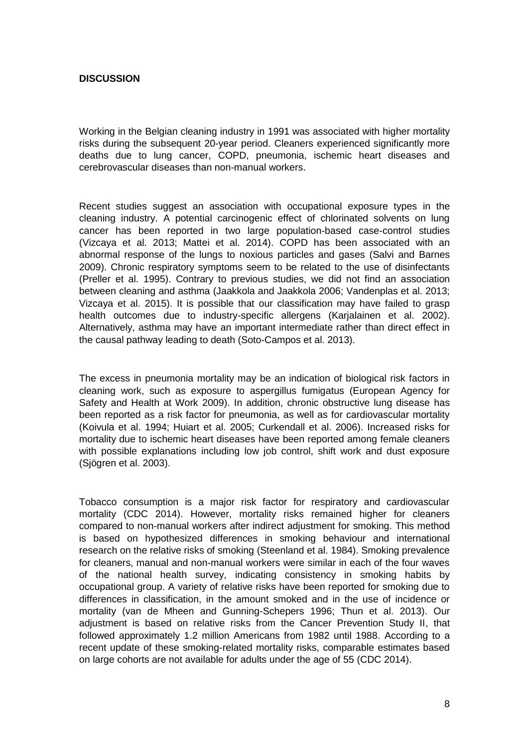#### **DISCUSSION**

Working in the Belgian cleaning industry in 1991 was associated with higher mortality risks during the subsequent 20-year period. Cleaners experienced significantly more deaths due to lung cancer, COPD, pneumonia, ischemic heart diseases and cerebrovascular diseases than non-manual workers.

Recent studies suggest an association with occupational exposure types in the cleaning industry. A potential carcinogenic effect of chlorinated solvents on lung cancer has been reported in two large population-based case-control studies (Vizcaya et al. 2013; Mattei et al. 2014). COPD has been associated with an abnormal response of the lungs to noxious particles and gases (Salvi and Barnes 2009). Chronic respiratory symptoms seem to be related to the use of disinfectants (Preller et al. 1995). Contrary to previous studies, we did not find an association between cleaning and asthma (Jaakkola and Jaakkola 2006; Vandenplas et al. 2013; Vizcaya et al. 2015). It is possible that our classification may have failed to grasp health outcomes due to industry-specific allergens (Karjalainen et al. 2002). Alternatively, asthma may have an important intermediate rather than direct effect in the causal pathway leading to death (Soto-Campos et al. 2013).

The excess in pneumonia mortality may be an indication of biological risk factors in cleaning work, such as exposure to aspergillus fumigatus (European Agency for Safety and Health at Work 2009). In addition, chronic obstructive lung disease has been reported as a risk factor for pneumonia, as well as for cardiovascular mortality (Koivula et al. 1994; Huiart et al. 2005; Curkendall et al. 2006). Increased risks for mortality due to ischemic heart diseases have been reported among female cleaners with possible explanations including low job control, shift work and dust exposure (Sjögren et al. 2003).

Tobacco consumption is a major risk factor for respiratory and cardiovascular mortality (CDC 2014). However, mortality risks remained higher for cleaners compared to non-manual workers after indirect adjustment for smoking. This method is based on hypothesized differences in smoking behaviour and international research on the relative risks of smoking (Steenland et al. 1984). Smoking prevalence for cleaners, manual and non-manual workers were similar in each of the four waves of the national health survey, indicating consistency in smoking habits by occupational group. A variety of relative risks have been reported for smoking due to differences in classification, in the amount smoked and in the use of incidence or mortality (van de Mheen and Gunning-Schepers 1996; Thun et al. 2013). Our adjustment is based on relative risks from the Cancer Prevention Study II, that followed approximately 1.2 million Americans from 1982 until 1988. According to a recent update of these smoking-related mortality risks, comparable estimates based on large cohorts are not available for adults under the age of 55 (CDC 2014).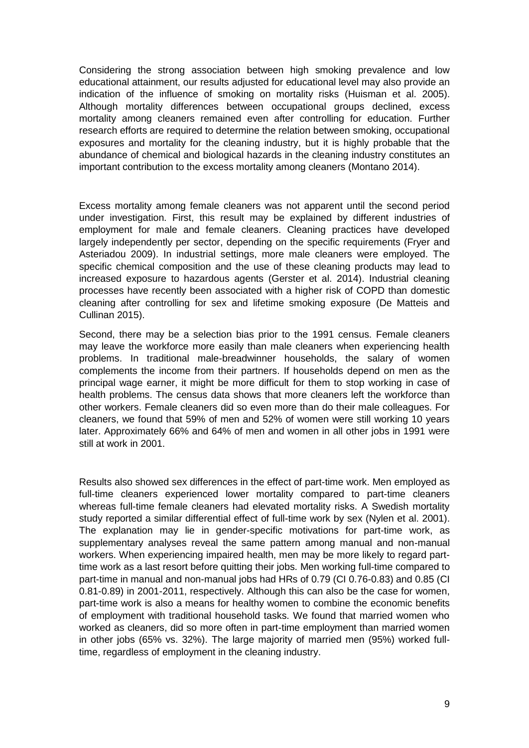Considering the strong association between high smoking prevalence and low educational attainment, our results adjusted for educational level may also provide an indication of the influence of smoking on mortality risks (Huisman et al. 2005). Although mortality differences between occupational groups declined, excess mortality among cleaners remained even after controlling for education. Further research efforts are required to determine the relation between smoking, occupational exposures and mortality for the cleaning industry, but it is highly probable that the abundance of chemical and biological hazards in the cleaning industry constitutes an important contribution to the excess mortality among cleaners (Montano 2014).

Excess mortality among female cleaners was not apparent until the second period under investigation. First, this result may be explained by different industries of employment for male and female cleaners. Cleaning practices have developed largely independently per sector, depending on the specific requirements (Fryer and Asteriadou 2009). In industrial settings, more male cleaners were employed. The specific chemical composition and the use of these cleaning products may lead to increased exposure to hazardous agents (Gerster et al. 2014). Industrial cleaning processes have recently been associated with a higher risk of COPD than domestic cleaning after controlling for sex and lifetime smoking exposure (De Matteis and Cullinan 2015).

Second, there may be a selection bias prior to the 1991 census. Female cleaners may leave the workforce more easily than male cleaners when experiencing health problems. In traditional male-breadwinner households, the salary of women complements the income from their partners. If households depend on men as the principal wage earner, it might be more difficult for them to stop working in case of health problems. The census data shows that more cleaners left the workforce than other workers. Female cleaners did so even more than do their male colleagues. For cleaners, we found that 59% of men and 52% of women were still working 10 years later. Approximately 66% and 64% of men and women in all other jobs in 1991 were still at work in 2001.

Results also showed sex differences in the effect of part-time work. Men employed as full-time cleaners experienced lower mortality compared to part-time cleaners whereas full-time female cleaners had elevated mortality risks. A Swedish mortality study reported a similar differential effect of full-time work by sex (Nylen et al. 2001). The explanation may lie in gender-specific motivations for part-time work, as supplementary analyses reveal the same pattern among manual and non-manual workers. When experiencing impaired health, men may be more likely to regard parttime work as a last resort before quitting their jobs. Men working full-time compared to part-time in manual and non-manual jobs had HRs of 0.79 (CI 0.76-0.83) and 0.85 (CI 0.81-0.89) in 2001-2011, respectively. Although this can also be the case for women, part-time work is also a means for healthy women to combine the economic benefits of employment with traditional household tasks. We found that married women who worked as cleaners, did so more often in part-time employment than married women in other jobs (65% vs. 32%). The large majority of married men (95%) worked fulltime, regardless of employment in the cleaning industry.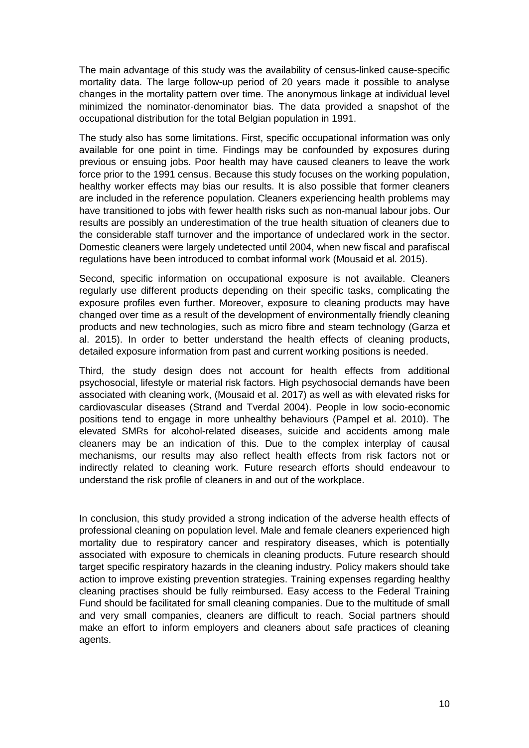The main advantage of this study was the availability of census-linked cause-specific mortality data. The large follow-up period of 20 years made it possible to analyse changes in the mortality pattern over time. The anonymous linkage at individual level minimized the nominator-denominator bias. The data provided a snapshot of the occupational distribution for the total Belgian population in 1991.

The study also has some limitations. First, specific occupational information was only available for one point in time. Findings may be confounded by exposures during previous or ensuing jobs. Poor health may have caused cleaners to leave the work force prior to the 1991 census. Because this study focuses on the working population, healthy worker effects may bias our results. It is also possible that former cleaners are included in the reference population. Cleaners experiencing health problems may have transitioned to jobs with fewer health risks such as non-manual labour jobs. Our results are possibly an underestimation of the true health situation of cleaners due to the considerable staff turnover and the importance of undeclared work in the sector. Domestic cleaners were largely undetected until 2004, when new fiscal and parafiscal regulations have been introduced to combat informal work (Mousaid et al. 2015).

Second, specific information on occupational exposure is not available. Cleaners regularly use different products depending on their specific tasks, complicating the exposure profiles even further. Moreover, exposure to cleaning products may have changed over time as a result of the development of environmentally friendly cleaning products and new technologies, such as micro fibre and steam technology (Garza et al. 2015). In order to better understand the health effects of cleaning products, detailed exposure information from past and current working positions is needed.

Third, the study design does not account for health effects from additional psychosocial, lifestyle or material risk factors. High psychosocial demands have been associated with cleaning work, (Mousaid et al. 2017) as well as with elevated risks for cardiovascular diseases (Strand and Tverdal 2004). People in low socio-economic positions tend to engage in more unhealthy behaviours (Pampel et al. 2010). The elevated SMRs for alcohol-related diseases, suicide and accidents among male cleaners may be an indication of this. Due to the complex interplay of causal mechanisms, our results may also reflect health effects from risk factors not or indirectly related to cleaning work. Future research efforts should endeavour to understand the risk profile of cleaners in and out of the workplace.

In conclusion, this study provided a strong indication of the adverse health effects of professional cleaning on population level. Male and female cleaners experienced high mortality due to respiratory cancer and respiratory diseases, which is potentially associated with exposure to chemicals in cleaning products. Future research should target specific respiratory hazards in the cleaning industry*.* Policy makers should take action to improve existing prevention strategies. Training expenses regarding healthy cleaning practises should be fully reimbursed. Easy access to the Federal Training Fund should be facilitated for small cleaning companies. Due to the multitude of small and very small companies, cleaners are difficult to reach. Social partners should make an effort to inform employers and cleaners about safe practices of cleaning agents.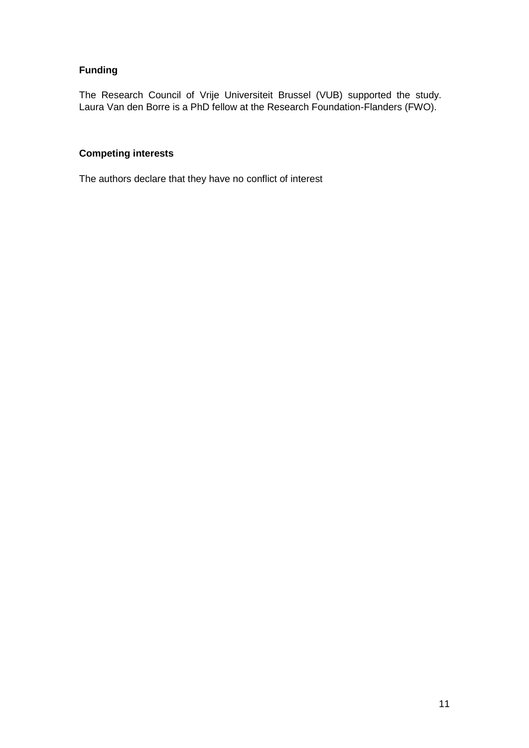# **Funding**

The Research Council of Vrije Universiteit Brussel (VUB) supported the study. Laura Van den Borre is a PhD fellow at the Research Foundation-Flanders (FWO).

# **Competing interests**

The authors declare that they have no conflict of interest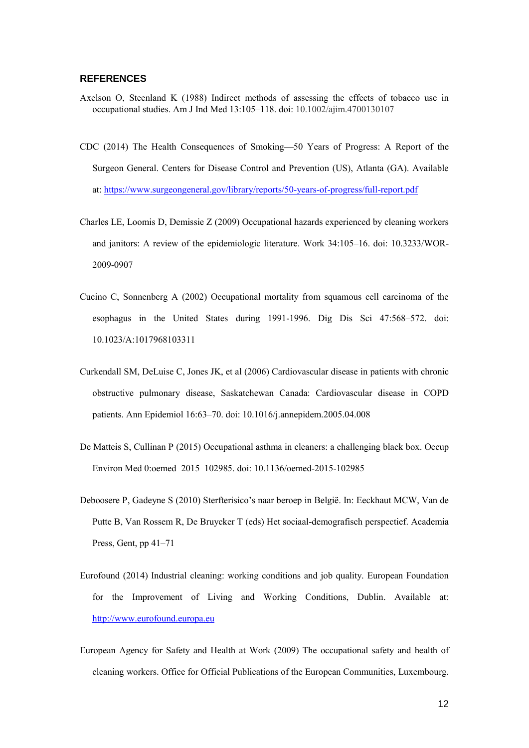#### **REFERENCES**

- Axelson O, Steenland K (1988) Indirect methods of assessing the effects of tobacco use in occupational studies. Am J Ind Med 13:105–118. doi: 10.1002/ajim.4700130107
- CDC (2014) The Health Consequences of Smoking—50 Years of Progress: A Report of the Surgeon General. Centers for Disease Control and Prevention (US), Atlanta (GA). Available at: https://www.surgeongeneral.gov/library/reports/50-years-of-progress/full-report.pdf
- Charles LE, Loomis D, Demissie Z (2009) Occupational hazards experienced by cleaning workers and janitors: A review of the epidemiologic literature. Work 34:105–16. doi: 10.3233/WOR-2009-0907
- Cucino C, Sonnenberg A (2002) Occupational mortality from squamous cell carcinoma of the esophagus in the United States during 1991-1996. Dig Dis Sci 47:568–572. doi: 10.1023/A:1017968103311
- Curkendall SM, DeLuise C, Jones JK, et al (2006) Cardiovascular disease in patients with chronic obstructive pulmonary disease, Saskatchewan Canada: Cardiovascular disease in COPD patients. Ann Epidemiol 16:63–70. doi: 10.1016/j.annepidem.2005.04.008
- De Matteis S, Cullinan P (2015) Occupational asthma in cleaners: a challenging black box. Occup Environ Med 0:oemed–2015–102985. doi: 10.1136/oemed-2015-102985
- Deboosere P, Gadeyne S (2010) Sterfterisico's naar beroep in België. In: Eeckhaut MCW, Van de Putte B, Van Rossem R, De Bruycker T (eds) Het sociaal-demografisch perspectief. Academia Press, Gent, pp 41–71
- Eurofound (2014) Industrial cleaning: working conditions and job quality. European Foundation for the Improvement of Living and Working Conditions, Dublin. Available at: http://www.eurofound.europa.eu
- European Agency for Safety and Health at Work (2009) The occupational safety and health of cleaning workers. Office for Official Publications of the European Communities, Luxembourg.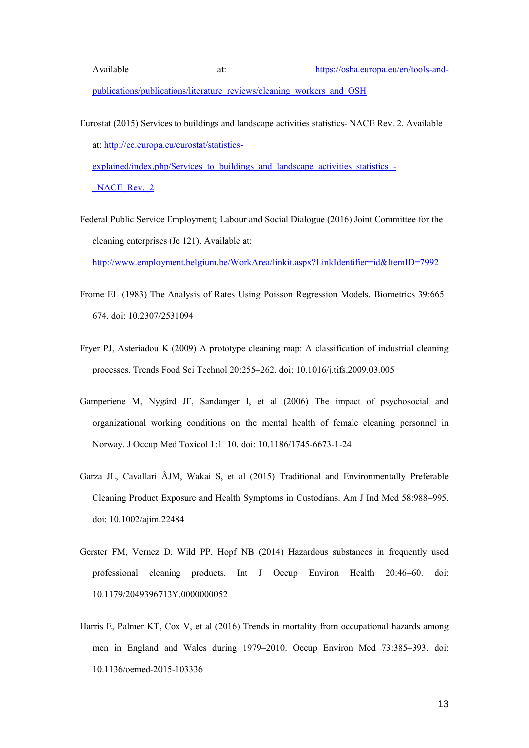- Eurostat (2015) Services to buildings and landscape activities statistics- NACE Rev. 2. Available at: http://ec.europa.eu/eurostat/statisticsexplained/index.php/Services to buildings and landscape activities statistics -NACE Rev. 2
- Federal Public Service Employment; Labour and Social Dialogue (2016) Joint Committee for the cleaning enterprises (Jc 121). Available at:

http://www.employment.belgium.be/WorkArea/linkit.aspx?LinkIdentifier=id&ItemID=7992

- Frome EL (1983) The Analysis of Rates Using Poisson Regression Models. Biometrics 39:665– 674. doi: 10.2307/2531094
- Fryer PJ, Asteriadou K (2009) A prototype cleaning map: A classification of industrial cleaning processes. Trends Food Sci Technol 20:255–262. doi: 10.1016/j.tifs.2009.03.005
- Gamperiene M, Nygård JF, Sandanger I, et al (2006) The impact of psychosocial and organizational working conditions on the mental health of female cleaning personnel in Norway. J Occup Med Toxicol 1:1–10. doi: 10.1186/1745-6673-1-24
- Garza JL, Cavallari ÃJM, Wakai S, et al (2015) Traditional and Environmentally Preferable Cleaning Product Exposure and Health Symptoms in Custodians. Am J Ind Med 58:988–995. doi: 10.1002/ajim.22484
- Gerster FM, Vernez D, Wild PP, Hopf NB (2014) Hazardous substances in frequently used professional cleaning products. Int J Occup Environ Health 20:46–60. doi: 10.1179/2049396713Y.0000000052
- Harris E, Palmer KT, Cox V, et al (2016) Trends in mortality from occupational hazards among men in England and Wales during 1979–2010. Occup Environ Med 73:385–393. doi: 10.1136/oemed-2015-103336

13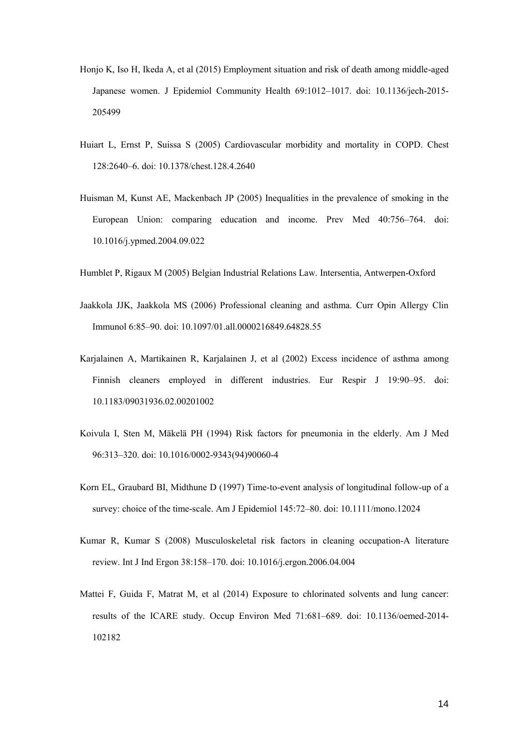- Honjo K, Iso H, Ikeda A, et al (2015) Employment situation and risk of death among middle-aged Japanese women. J Epidemiol Community Health 69:1012–1017. doi: 10.1136/jech-2015- 205499
- Huiart L, Ernst P, Suissa S (2005) Cardiovascular morbidity and mortality in COPD. Chest 128:2640–6. doi: 10.1378/chest.128.4.2640
- Huisman M, Kunst AE, Mackenbach JP (2005) Inequalities in the prevalence of smoking in the European Union: comparing education and income. Prev Med 40:756–764. doi: 10.1016/j.ypmed.2004.09.022

Humblet P, Rigaux M (2005) Belgian Industrial Relations Law. Intersentia, Antwerpen-Oxford

- Jaakkola JJK, Jaakkola MS (2006) Professional cleaning and asthma. Curr Opin Allergy Clin Immunol 6:85–90. doi: 10.1097/01.all.0000216849.64828.55
- Karjalainen A, Martikainen R, Karjalainen J, et al (2002) Excess incidence of asthma among Finnish cleaners employed in different industries. Eur Respir J 19:90–95. doi: 10.1183/09031936.02.00201002
- Koivula I, Sten M, Mäkelä PH (1994) Risk factors for pneumonia in the elderly. Am J Med 96:313–320. doi: 10.1016/0002-9343(94)90060-4
- Korn EL, Graubard BI, Midthune D (1997) Time-to-event analysis of longitudinal follow-up of a survey: choice of the time-scale. Am J Epidemiol 145:72–80. doi: 10.1111/mono.12024
- Kumar R, Kumar S (2008) Musculoskeletal risk factors in cleaning occupation-A literature review. Int J Ind Ergon 38:158–170. doi: 10.1016/j.ergon.2006.04.004
- Mattei F, Guida F, Matrat M, et al (2014) Exposure to chlorinated solvents and lung cancer: results of the ICARE study. Occup Environ Med 71:681–689. doi: 10.1136/oemed-2014- 102182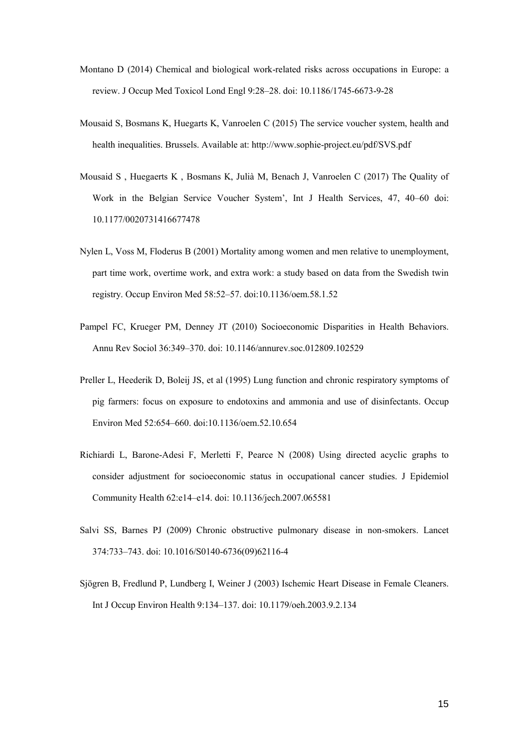- Montano D (2014) Chemical and biological work-related risks across occupations in Europe: a review. J Occup Med Toxicol Lond Engl 9:28–28. doi: 10.1186/1745-6673-9-28
- Mousaid S, Bosmans K, Huegarts K, Vanroelen C (2015) The service voucher system, health and health inequalities. Brussels. Available at: http://www.sophie-project.eu/pdf/SVS.pdf
- Mousaid S , Huegaerts K , Bosmans K, Julià M, Benach J, Vanroelen C (2017) The Quality of Work in the Belgian Service Voucher System', Int J Health Services, 47, 40–60 doi: 10.1177/0020731416677478
- Nylen L, Voss M, Floderus B (2001) Mortality among women and men relative to unemployment, part time work, overtime work, and extra work: a study based on data from the Swedish twin registry. Occup Environ Med 58:52–57. doi:10.1136/oem.58.1.52
- Pampel FC, Krueger PM, Denney JT (2010) Socioeconomic Disparities in Health Behaviors. Annu Rev Sociol 36:349–370. doi: 10.1146/annurev.soc.012809.102529
- Preller L, Heederik D, Boleij JS, et al (1995) Lung function and chronic respiratory symptoms of pig farmers: focus on exposure to endotoxins and ammonia and use of disinfectants. Occup Environ Med 52:654–660. doi:10.1136/oem.52.10.654
- Richiardi L, Barone-Adesi F, Merletti F, Pearce N (2008) Using directed acyclic graphs to consider adjustment for socioeconomic status in occupational cancer studies. J Epidemiol Community Health 62:e14–e14. doi: 10.1136/jech.2007.065581
- Salvi SS, Barnes PJ (2009) Chronic obstructive pulmonary disease in non-smokers. Lancet 374:733–743. doi: 10.1016/S0140-6736(09)62116-4
- Sjögren B, Fredlund P, Lundberg I, Weiner J (2003) Ischemic Heart Disease in Female Cleaners. Int J Occup Environ Health 9:134–137. doi: 10.1179/oeh.2003.9.2.134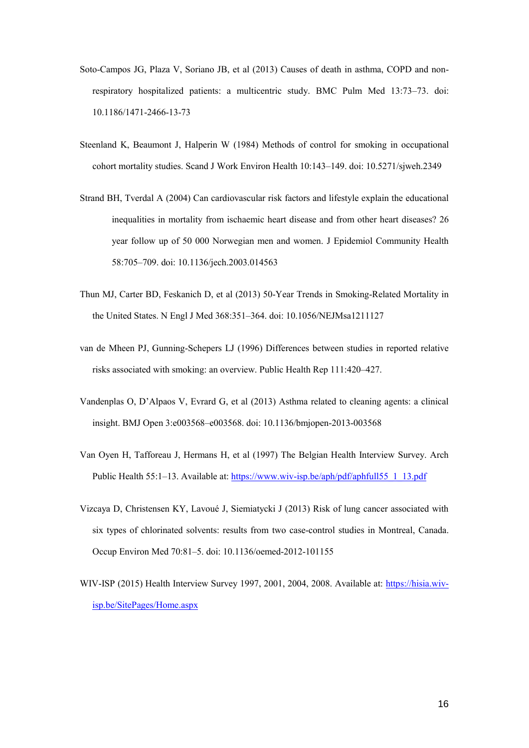- Soto-Campos JG, Plaza V, Soriano JB, et al (2013) Causes of death in asthma, COPD and nonrespiratory hospitalized patients: a multicentric study. BMC Pulm Med 13:73–73. doi: 10.1186/1471-2466-13-73
- Steenland K, Beaumont J, Halperin W (1984) Methods of control for smoking in occupational cohort mortality studies. Scand J Work Environ Health 10:143–149. doi: 10.5271/sjweh.2349
- Strand BH, Tverdal A (2004) Can cardiovascular risk factors and lifestyle explain the educational inequalities in mortality from ischaemic heart disease and from other heart diseases? 26 year follow up of 50 000 Norwegian men and women. J Epidemiol Community Health 58:705–709. doi: 10.1136/jech.2003.014563
- Thun MJ, Carter BD, Feskanich D, et al (2013) 50-Year Trends in Smoking-Related Mortality in the United States. N Engl J Med 368:351–364. doi: 10.1056/NEJMsa1211127
- van de Mheen PJ, Gunning-Schepers LJ (1996) Differences between studies in reported relative risks associated with smoking: an overview. Public Health Rep 111:420–427.
- Vandenplas O, D'Alpaos V, Evrard G, et al (2013) Asthma related to cleaning agents: a clinical insight. BMJ Open 3:e003568–e003568. doi: 10.1136/bmjopen-2013-003568
- Van Oyen H, Tafforeau J, Hermans H, et al (1997) The Belgian Health Interview Survey. Arch Public Health 55:1–13. Available at: https://www.wiv-isp.be/aph/pdf/aphfull55\_1\_13.pdf
- Vizcaya D, Christensen KY, Lavoué J, Siemiatycki J (2013) Risk of lung cancer associated with six types of chlorinated solvents: results from two case-control studies in Montreal, Canada. Occup Environ Med 70:81–5. doi: 10.1136/oemed-2012-101155
- WIV-ISP (2015) Health Interview Survey 1997, 2001, 2004, 2008. Available at: https://hisia.wivisp.be/SitePages/Home.aspx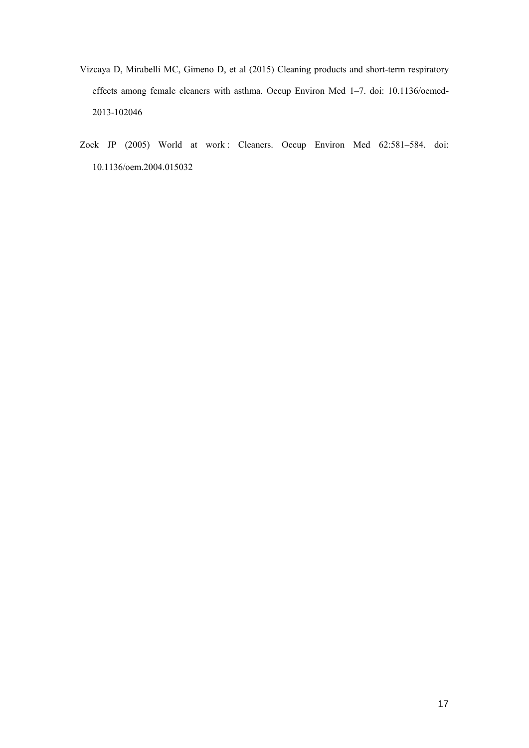- Vizcaya D, Mirabelli MC, Gimeno D, et al (2015) Cleaning products and short-term respiratory effects among female cleaners with asthma. Occup Environ Med 1–7. doi: 10.1136/oemed-2013-102046
- Zock JP (2005) World at work : Cleaners. Occup Environ Med 62:581–584. doi: 10.1136/oem.2004.015032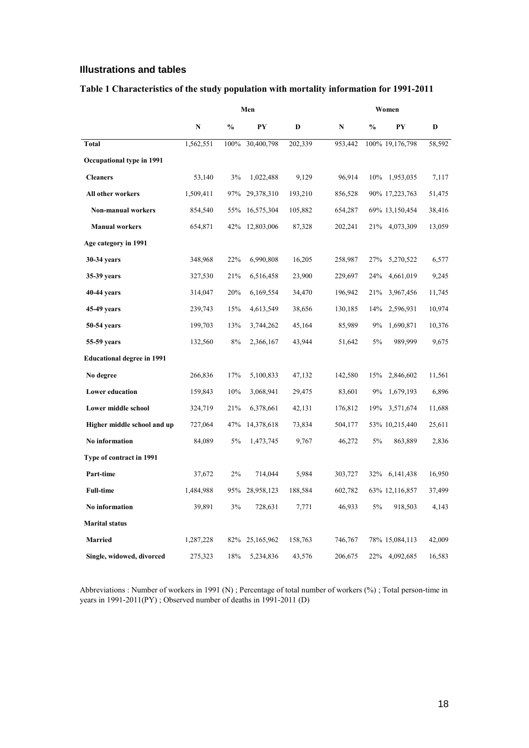# **Illustrations and tables**

|  |  |  | Table 1 Characteristics of the study population with mortality information for 1991-2011 |  |  |
|--|--|--|------------------------------------------------------------------------------------------|--|--|
|--|--|--|------------------------------------------------------------------------------------------|--|--|

|                                   |           |               | Men        |         |             |               | Women           |        |  |  |
|-----------------------------------|-----------|---------------|------------|---------|-------------|---------------|-----------------|--------|--|--|
|                                   | ${\bf N}$ | $\frac{0}{0}$ | PY         | D       | $\mathbf N$ | $\frac{0}{0}$ | PY              | D      |  |  |
| <b>Total</b>                      | 1,562,551 | 100%          | 30,400,798 | 202,339 | 953,442     |               | 100% 19,176,798 | 58,592 |  |  |
| Occupational type in 1991         |           |               |            |         |             |               |                 |        |  |  |
| <b>Cleaners</b>                   | 53,140    | 3%            | 1,022,488  | 9,129   | 96,914      | 10%           | 1,953,035       | 7,117  |  |  |
| All other workers                 | 1,509,411 | 97%           | 29,378,310 | 193,210 | 856,528     |               | 90% 17,223,763  | 51,475 |  |  |
| Non-manual workers                | 854,540   | 55%           | 16,575,304 | 105,882 | 654,287     |               | 69% 13,150,454  | 38,416 |  |  |
| <b>Manual workers</b>             | 654,871   | 42%           | 12,803,006 | 87,328  | 202,241     | 21%           | 4,073,309       | 13,059 |  |  |
| Age category in 1991              |           |               |            |         |             |               |                 |        |  |  |
| 30-34 years                       | 348,968   | 22%           | 6,990,808  | 16,205  | 258,987     | 27%           | 5,270,522       | 6,577  |  |  |
| 35-39 years                       | 327,530   | 21%           | 6,516,458  | 23,900  | 229,697     | 24%           | 4,661,019       | 9,245  |  |  |
| 40-44 years                       | 314,047   | 20%           | 6,169,554  | 34,470  | 196,942     | 21%           | 3,967,456       | 11,745 |  |  |
| 45-49 years                       | 239,743   | 15%           | 4,613,549  | 38,656  | 130,185     | 14%           | 2,596,931       | 10,974 |  |  |
| 50-54 years                       | 199,703   | 13%           | 3,744,262  | 45,164  | 85,989      | 9%            | 1,690,871       | 10,376 |  |  |
| 55-59 years                       | 132,560   | 8%            | 2,366,167  | 43,944  | 51,642      | 5%            | 989,999         | 9,675  |  |  |
| <b>Educational degree in 1991</b> |           |               |            |         |             |               |                 |        |  |  |
| No degree                         | 266,836   | 17%           | 5,100,833  | 47,132  | 142,580     | 15%           | 2,846,602       | 11,561 |  |  |
| <b>Lower education</b>            | 159,843   | 10%           | 3,068,941  | 29,475  | 83,601      | 9%            | 1,679,193       | 6,896  |  |  |
| Lower middle school               | 324,719   | 21%           | 6,378,661  | 42,131  | 176,812     | 19%           | 3,571,674       | 11,688 |  |  |
| Higher middle school and up       | 727,064   | 47%           | 14,378,618 | 73,834  | 504,177     |               | 53% 10,215,440  | 25,611 |  |  |
| No information                    | 84,089    | 5%            | 1,473,745  | 9,767   | 46,272      | 5%            | 863,889         | 2,836  |  |  |
| Type of contract in 1991          |           |               |            |         |             |               |                 |        |  |  |
| Part-time                         | 37,672    | 2%            | 714,044    | 5,984   | 303,727     | 32%           | 6, 141, 438     | 16,950 |  |  |
| <b>Full-time</b>                  | 1,484,988 | 95%           | 28,958,123 | 188,584 | 602,782     |               | 63% 12,116,857  | 37,499 |  |  |
| No information                    | 39,891    | 3%            | 728,631    | 7,771   | 46,933      | 5%            | 918,503         | 4,143  |  |  |
| <b>Marital status</b>             |           |               |            |         |             |               |                 |        |  |  |
| <b>Married</b>                    | 1,287,228 | 82%           | 25,165,962 | 158,763 | 746,767     |               | 78% 15,084,113  | 42,009 |  |  |
| Single, widowed, divorced         | 275,323   | 18%           | 5,234,836  | 43,576  | 206,675     | 22%           | 4,092,685       | 16,583 |  |  |

Abbreviations : Number of workers in 1991 (N) ; Percentage of total number of workers (%) ; Total person-time in years in 1991-2011(PY) ; Observed number of deaths in 1991-2011 (D)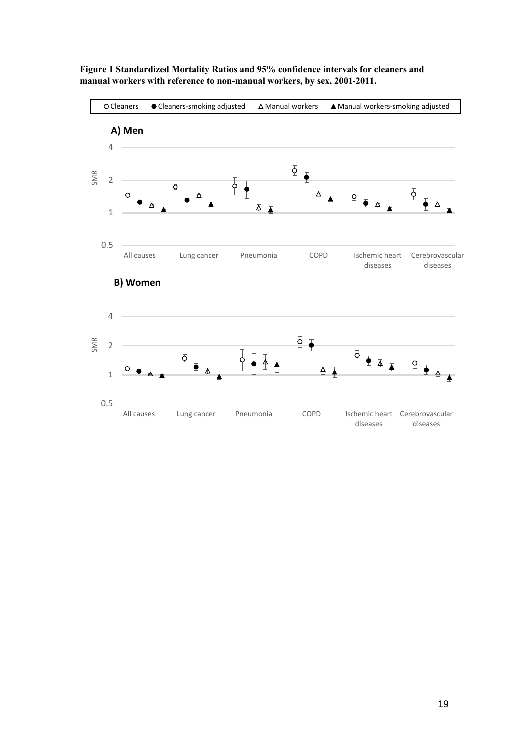

**Figure 1 Standardized Mortality Ratios and 95% confidence intervals for cleaners and manual workers with reference to non-manual workers, by sex, 2001-2011.**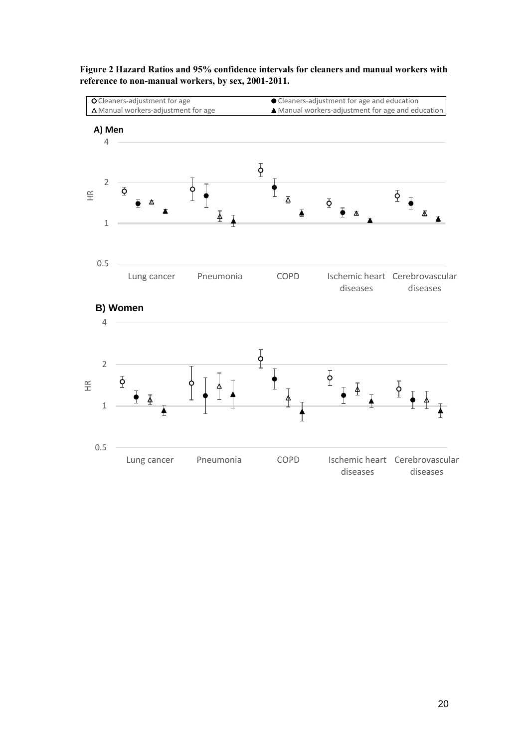

**Figure 2 Hazard Ratios and 95% confidence intervals for cleaners and manual workers with reference to non-manual workers, by sex, 2001-2011.**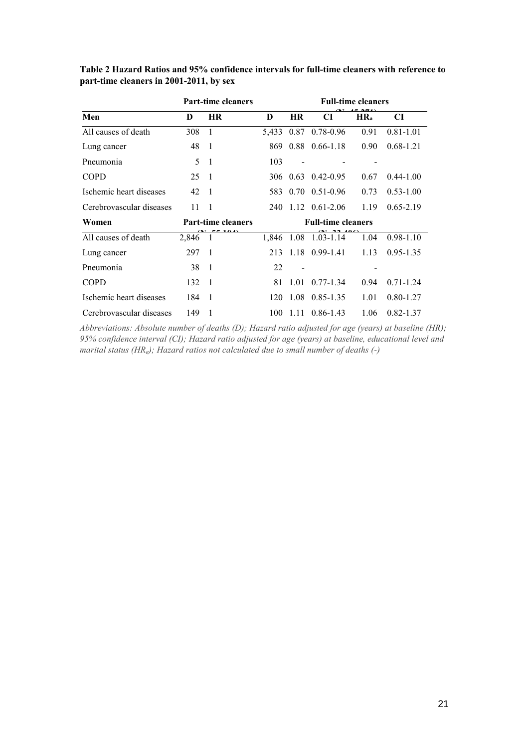|                          |         | <b>Part-time cleaners</b> |       | <b>Full-time cleaners</b> |                           |                 |               |  |  |
|--------------------------|---------|---------------------------|-------|---------------------------|---------------------------|-----------------|---------------|--|--|
| Men                      | D       | <b>HR</b>                 | D     | <b>HR</b>                 | CI                        | HR <sub>a</sub> | CI            |  |  |
| All causes of death      | 308     | $\mathbf{1}$              | 5,433 |                           | $0.87$ 0.78-0.96          | 0.91            | $0.81 - 1.01$ |  |  |
| Lung cancer              | 48      | $\overline{1}$            | 869   |                           | $0.88$ $0.66 - 1.18$      | 0.90            | $0.68 - 1.21$ |  |  |
| Pneumonia                | 5       | -1                        | 103   |                           |                           |                 |               |  |  |
| <b>COPD</b>              | 25      | $\overline{1}$            |       |                           | 306 0.63 0.42-0.95        | 0.67            | $0.44 - 1.00$ |  |  |
| Ischemic heart diseases  | 42      | $\overline{1}$            | 583.  |                           | $0.70 \quad 0.51 - 0.96$  | 0.73            | $0.53 - 1.00$ |  |  |
| Cerebrovascular diseases | 11      | $\overline{1}$            |       |                           | 240 1.12 0.61-2.06        | 1.19            | $0.65 - 2.19$ |  |  |
| Women                    |         | <b>Part-time cleaners</b> |       |                           | <b>Full-time cleaners</b> |                 |               |  |  |
| All causes of death      | 2,846 1 |                           |       |                           | 1,846 1.08 1.03-1.14      | 1.04            | $0.98 - 1.10$ |  |  |
| Lung cancer              | 297     | $\overline{1}$            | 213   |                           | $1.18$ 0.99-1.41          | 1.13            | $0.95 - 1.35$ |  |  |
| Pneumonia                | 38      | $\overline{\phantom{0}}$  | 22    |                           |                           |                 |               |  |  |
| <b>COPD</b>              | 132     | $\overline{1}$            | 81    | 1.01                      | $0.77 - 1.34$             | 0.94            | $0.71 - 1.24$ |  |  |
| Ischemic heart diseases  | 184     | $\overline{1}$            | 120   |                           | 1.08 0.85-1.35            | 1.01            | $0.80 - 1.27$ |  |  |
| Cerebrovascular diseases | 149     | $\overline{1}$            | 100   | 1.11                      | $0.86 - 1.43$             | 1.06            | $0.82 - 1.37$ |  |  |

**Table 2 Hazard Ratios and 95% confidence intervals for full-time cleaners with reference to part-time cleaners in 2001-2011, by sex**

*Abbreviations: Absolute number of deaths (D); Hazard ratio adjusted for age (years) at baseline (HR); 95% confidence interval (CI); Hazard ratio adjusted for age (years) at baseline, educational level and marital status (HRa); Hazard ratios not calculated due to small number of deaths (-)*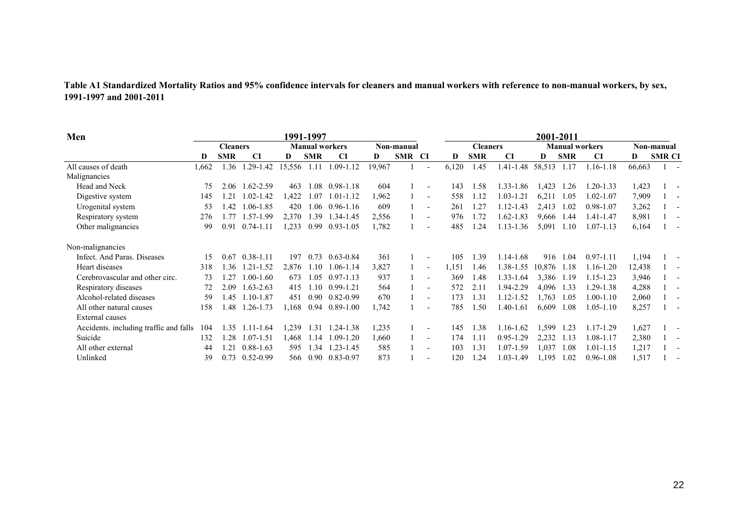| Table A1 Standardized Mortality Ratios and 95% confidence intervals for cleaners and manual workers with reference to non-manual workers, by sex, |  |
|---------------------------------------------------------------------------------------------------------------------------------------------------|--|
| 1991-1997 and 2001-2011                                                                                                                           |  |

| Men                                    | 1991-1997       |            |               |        |                       |               |            |            | 2001-2011                |                 |            |                               |        |            |               |        |               |  |
|----------------------------------------|-----------------|------------|---------------|--------|-----------------------|---------------|------------|------------|--------------------------|-----------------|------------|-------------------------------|--------|------------|---------------|--------|---------------|--|
|                                        | <b>Cleaners</b> |            |               |        | <b>Manual workers</b> |               | Non-manual |            |                          | <b>Cleaners</b> |            | <b>Manual workers</b>         |        |            | Non-manual    |        |               |  |
|                                        | D               | <b>SMR</b> | CI            | D      | <b>SMR</b>            | <b>CI</b>     | D          | <b>SMR</b> | -CI                      | D               | <b>SMR</b> | CI                            | D      | <b>SMR</b> | <b>CI</b>     | D      | <b>SMR CI</b> |  |
| All causes of death                    | 1,662           | 1.36       | $.29 - 1.42$  | 15,556 | 1.11                  | 1.09-1.12     | 19,967     |            | $\blacksquare$           | 6,120           | 1.45       | 1.41-1.48                     | 58,513 | 1.17       | $.16 - 1.18$  | 66,663 |               |  |
| Malignancies                           |                 |            |               |        |                       |               |            |            |                          |                 |            |                               |        |            |               |        |               |  |
| Head and Neck                          | 75              | 2.06       | $.62 - 2.59$  | 463    | .08                   | 0.98-1.18     | 604        |            |                          | 143             | 1.58       | 1.33-1<br>l.86                | 1,423  | 1.26       | $.20 - 1.33$  | 1,423  |               |  |
| Digestive system                       | 145             | .21        | $.02 - 1.42$  | 1,422  | l.07                  | $.01 - 1.12$  | 1,962      |            | $\overline{\phantom{a}}$ | 558             | 1.12       | 1.03-1.21                     | 6,211  | 1.05       | $.02 - 1.07$  | 7,909  |               |  |
| Urogenital system                      | 53              | .42        | $.06 - 1.85$  | 420    | .06                   | 0.96-1.16     | 609        |            | $\overline{\phantom{a}}$ | 261             | 1.27       | 1.12-1.43                     | 2,413  | 1.02       | 0.98-1.07     | 3,262  |               |  |
| Respiratory system                     | 276             | .77        | .57-1.99      | 2,370  | l.39                  | 1.34-1.45     | 2,556      |            | $\overline{\phantom{a}}$ | 976             | 1.72       | 1.62-1.83                     | 9,666  | 1.44       | 1.41-1.47     | 8,981  |               |  |
| Other malignancies                     | 99              | 0.91       | $0.74 - 1.11$ | 1,233  | 0.99                  | $0.93 - 1.05$ | 1,782      |            | $\overline{\phantom{a}}$ | 485             | 1.24       | 1.13-1.36                     | 5,091  | 1.10       | $1.07 - 1.13$ | 6,164  |               |  |
| Non-malignancies                       |                 |            |               |        |                       |               |            |            |                          |                 |            |                               |        |            |               |        |               |  |
| Infect. And Paras. Diseases            | 15              | 0.67       | $0.38 - 1.11$ | 197    | 0.73                  | $0.63 - 0.84$ | 361        |            |                          | 105             | 1.39       | 1.14-1.68                     | 916    | 1.04       | $0.97 - 1.11$ | 1,194  |               |  |
| Heart diseases                         | 318             | .36        | $.21 - 1.52$  | 2,876  | 1.10                  | $.06 - 1.14$  | 3,827      |            | $\blacksquare$           | 1,151           | 1.46       | 1.38-1<br>l.55                | 10,876 | 1.18       | $.16 - 1.20$  | 12,438 |               |  |
| Cerebrovascular and other circ.        | 73              | .27        | $.00-1.60$    | 673    | 1.05                  | $0.97 - 1.13$ | 937        |            | $\overline{\phantom{a}}$ | 369             | 1.48       | 1.33-1.64                     | 3,386  | 1.19       | 1.15-1.23     | 3,946  |               |  |
| Respiratory diseases                   | 72              | 2.09       | $.63 - 2.63$  | 415    | 1.10                  | $0.99 - 1.21$ | 564        |            | $\overline{\phantom{a}}$ | 572             | 2.11       | 1.94-2.29                     | 4,096  | 1.33       | $.29 - 1.38$  | 4,288  |               |  |
| Alcohol-related diseases               | 59              | .45        | $.10 - 1.87$  | 451    | 0.90                  | $0.82 - 0.99$ | 670        |            | $\overline{\phantom{a}}$ | 173             | 1.31       | 1.12-1.52                     | 1,763  | 1.05       | $.00-1.10$    | 2,060  |               |  |
| All other natural causes               | 158             | .48        | $.26 - 1.73$  | l,168  | 0.94                  | 0.89-1.00     | 1,742      |            |                          | 785             | 1.50       | 1.40-1.61                     | 6,609  | 1.08       | $.05 - 1.10$  | 8,257  |               |  |
| <b>External causes</b>                 |                 |            |               |        |                       |               |            |            |                          |                 |            |                               |        |            |               |        |               |  |
| Accidents. including traffic and falls | 104             | .35        | $.11 - 1.64$  | 1,239  | 1.31                  | 1.24-1.38     | 1,235      |            | $\overline{\phantom{a}}$ | 145             | 1.38       | 1.16-1.62                     | 1,599  | 1.23       | $1.17 - 1.29$ | 1,627  |               |  |
| Suicide                                | 132             | .28        | $.07 - 1.51$  | .468   | .14                   | $.09-1.20$    | 1,660      |            | $\overline{\phantom{a}}$ | 174             | 1.11       | L <sub>29</sub><br>$0.95 - 1$ | 2,232  | 1.13       | $.08 - 1.17$  | 2,380  |               |  |
| All other external                     | 44              | .21        | $0.88 - 1.63$ | 595    | l.34                  | $1.23 - 1.45$ | 585        |            | $\overline{\phantom{a}}$ | 103             | 1.31       | 1.07-1.59                     | 1,037  | 1.08       | $.01 - 1.15$  | 1,217  |               |  |
| Unlinked                               | 39              | 0.73       | $0.52 - 0.99$ | 566    | 0.90                  | $0.83 - 0.97$ | 873        |            |                          | 120             | 1.24       | 1.03-1.49                     | 1,195  | 1.02       | $0.96 - 1.08$ | 1,517  |               |  |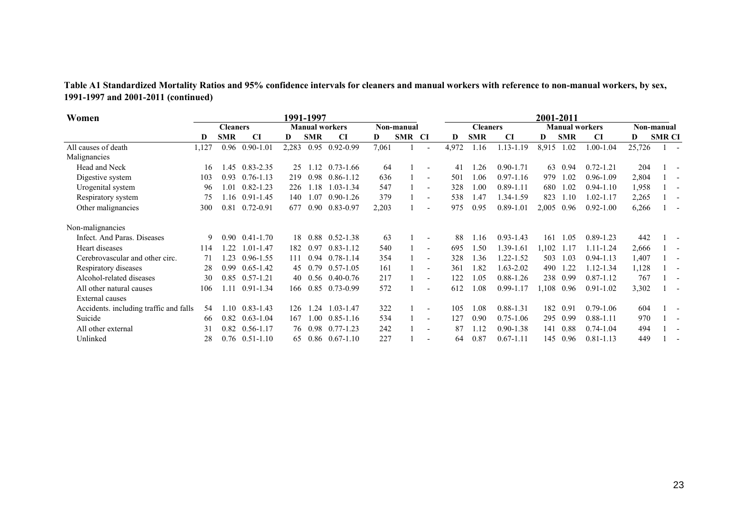**Table A1 Standardized Mortality Ratios and 95% confidence intervals for cleaners and manual workers with reference to non-manual workers, by sex, 1991-1997 and 2001-2011 (continued)**

| Women                                  | 1991-1997 |                   |                      |       |            |                       |       |            |                          | 2001-2011 |                 |               |       |            |                       |        |               |  |
|----------------------------------------|-----------|-------------------|----------------------|-------|------------|-----------------------|-------|------------|--------------------------|-----------|-----------------|---------------|-------|------------|-----------------------|--------|---------------|--|
|                                        |           | <b>Cleaners</b>   |                      |       |            | <b>Manual workers</b> |       | Non-manual |                          |           | <b>Cleaners</b> |               |       |            | <b>Manual workers</b> |        | Non-manual    |  |
|                                        | D         | <b>SMR</b>        | CI                   | D     | <b>SMR</b> | <b>CI</b>             | D     | SMR CI     |                          | D         | <b>SMR</b>      | CI            | D     | <b>SMR</b> | <b>CI</b>             | D      | <b>SMR CI</b> |  |
| All causes of death                    | 1,127     |                   | $0.96$ 0.90-1.01     | 2,283 | 0.95       | $0.92 - 0.99$         | 7,061 |            | $\overline{\phantom{a}}$ | 4,972     | 1.16            | 1.13-1.19     | 8,915 | 1.02       | 1.00-1.04             | 25,726 |               |  |
| Malignancies                           |           |                   |                      |       |            |                       |       |            |                          |           |                 |               |       |            |                       |        |               |  |
| Head and Neck                          | 16        | 1.45              | $0.83 - 2.35$        | 25    | 1.12       | $0.73 - 1.66$         | 64    |            |                          | 41        | .26             | $0.90 - 1.71$ | 63    | 0.94       | $0.72 - 1.21$         | 204    |               |  |
| Digestive system                       | 103       | 0.93              | $0.76 - 1.13$        | 219   | 0.98       | $0.86 - 1.12$         | 636   |            | $\overline{\phantom{a}}$ | 501       | 1.06            | $0.97 - 1.16$ | 979   | 1.02       | $0.96 - 1.09$         | 2,804  |               |  |
| Urogenital system                      | 96        | 1.01              | $0.82 - 1.23$        | 226   | 1.18       | 1.03-1.34             | 547   |            | $\overline{\phantom{a}}$ | 328       | 1.00            | $0.89 - 1.11$ | 680   | 1.02       | $0.94 - 1.10$         | 1,958  |               |  |
| Respiratory system                     | 75        | 1.16              | $0.91 - 1.45$        | 140   | 1.07       | $0.90 - 1.26$         | 379   |            | $\overline{\phantom{a}}$ | 538       | 1.47            | 1.34-1.59     | 823   | 1.10       | 1.02-1.17             | 2,265  |               |  |
| Other malignancies                     | 300       | 0.81              | $0.72 - 0.91$        | 677   | 0.90       | $0.83 - 0.97$         | 2,203 |            |                          | 975       | 0.95            | $0.89 - 1.01$ | 2,005 | 0.96       | $0.92 - 1.00$         | 6,266  |               |  |
| Non-malignancies                       |           |                   |                      |       |            |                       |       |            |                          |           |                 |               |       |            |                       |        |               |  |
| Infect. And Paras. Diseases            | 9         | 0.90 <sub>1</sub> | $0.41 - 1.70$        | 18    | 0.88       | $0.52 - 1.38$         | 63    |            |                          | 88        | 16              | $0.93 - 1.43$ | 161   | 1.05       | $0.89 - 1.23$         | 442    |               |  |
| Heart diseases                         | 114       | .22               | 1.01-1.47            | 182   | 0.97       | $0.83 - 1.12$         | 540   |            |                          | 695       | 1.50            | 1.39-1.61     | ,102  | 1.17       | $1.11 - 1.24$         | 2,666  |               |  |
| Cerebrovascular and other circ.        | 71        | l.23              | $0.96 - 1.55$        | 111   | 0.94       | $0.78 - 1.14$         | 354   |            | $\overline{\phantom{a}}$ | 328       | 1.36            | 1.22-1.52     | 503   | 1.03       | $0.94 - 1.13$         | 1,407  |               |  |
| Respiratory diseases                   | 28        | 0.99              | $0.65 - 1.42$        | 45    | 0.79       | $0.57 - 1.05$         | 161   |            | $\overline{\phantom{a}}$ | 361       | 1.82            | $1.63 - 2.02$ | 490   | 1.22       | 1.12-1.34             | 1,128  |               |  |
| Alcohol-related diseases               | 30        | 0.85              | $0.57 - 1.21$        | 40    | 0.56       | 0.40-0.76             | 217   |            | $\overline{\phantom{a}}$ | 122       | 1.05            | $0.88 - 1.26$ | 238   | 0.99       | $0.87 - 1.12$         | 767    |               |  |
| All other natural causes               | 106       | 1.11              | $0.91 - 1.34$        | 166   | 0.85       | $0.73 - 0.99$         | 572   |            |                          | 612       | 1.08            | $0.99 - 1.17$ | 0.108 | 0.96       | $0.91 - 1.02$         | 3,302  |               |  |
| <b>External</b> causes                 |           |                   |                      |       |            |                       |       |            |                          |           |                 |               |       |            |                       |        |               |  |
| Accidents. including traffic and falls | 54        | .10               | $0.83 - 1.43$        | 126   | 1.24       | 1.03-1.47             | 322   |            | $\overline{\phantom{a}}$ | 105       | 0.08            | 0.88-1.31     | 182   | 0.91       | $0.79 - 1.06$         | 604    |               |  |
| Suicide                                | 66        | 0.82              | $0.63 - 1.04$        | 167   | 1.00       | $0.85 - 1.16$         | 534   |            | $\overline{\phantom{0}}$ | 127       | 0.90            | $0.75 - 1.06$ | 295   | 0.99       | $0.88 - 1.11$         | 970    |               |  |
| All other external                     | 31        | 0.82              | $0.56 - 1.17$        | 76    | 0.98       | $0.77 - 1.23$         | 242   |            |                          | 87        | 1.12            | $0.90 - 1.38$ | 141   | 0.88       | $0.74 - 1.04$         | 494    |               |  |
| Unlinked                               | 28        |                   | $0.76$ $0.51 - 1.10$ | 65    |            | $0.86$ 0.67-1.10      | 227   |            |                          | 64        | 0.87            | $0.67 - 1.11$ | 145   | 0.96       | $0.81 - 1.13$         | 449    |               |  |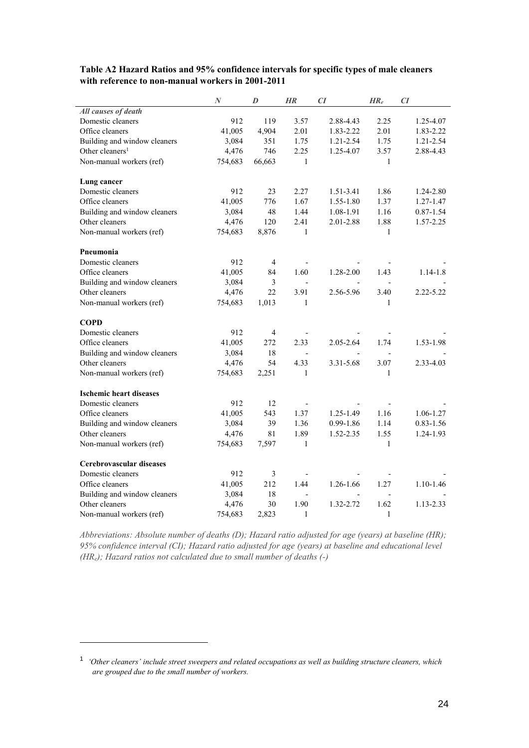|                                | $\boldsymbol{N}$ | D              | HR                       | CI             | $HR_e$         | CI            |
|--------------------------------|------------------|----------------|--------------------------|----------------|----------------|---------------|
| All causes of death            |                  |                |                          |                |                |               |
| Domestic cleaners              | 912              | 119            | 3.57                     | 2.88-4.43      | 2.25           | 1.25-4.07     |
| Office cleaners                | 41,005           | 4,904          | 2.01                     | 1.83-2.22      | 2.01           | 1.83-2.22     |
| Building and window cleaners   | 3,084            | 351            | 1.75                     | 1.21-2.54      | 1.75           | 1.21-2.54     |
| Other cleaners <sup>1</sup>    | 4,476            | 746            | 2.25                     | 1.25-4.07      | 3.57           | 2.88-4.43     |
| Non-manual workers (ref)       | 754,683          | 66,663         | $\mathbf{1}$             |                | $\mathbf{1}$   |               |
| Lung cancer                    |                  |                |                          |                |                |               |
| Domestic cleaners              | 912              | 23             | 2.27                     | 1.51-3.41      | 1.86           | 1.24-2.80     |
| Office cleaners                | 41,005           | 776            | 1.67                     | 1.55-1.80      | 1.37           | 1.27-1.47     |
| Building and window cleaners   | 3,084            | 48             | 1.44                     | 1.08-1.91      | 1.16           | $0.87 - 1.54$ |
| Other cleaners                 | 4,476            | 120            | 2.41                     | 2.01-2.88      | 1.88           | 1.57-2.25     |
| Non-manual workers (ref)       | 754,683          | 8,876          | $\mathbf{1}$             |                | $\mathbf{1}$   |               |
| Pneumonia                      |                  |                |                          |                |                |               |
| Domestic cleaners              | 912              | $\overline{4}$ |                          |                |                |               |
| Office cleaners                | 41,005           | 84             | 1.60                     | 1.28-2.00      | 1.43           | $1.14 - 1.8$  |
| Building and window cleaners   | 3,084            | 3              |                          |                |                |               |
| Other cleaners                 | 4,476            | 22             | 3.91                     | 2.56-5.96      | 3.40           | 2.22-5.22     |
| Non-manual workers (ref)       | 754,683          | 1,013          | $\mathbf{1}$             |                | 1              |               |
| <b>COPD</b>                    |                  |                |                          |                |                |               |
| Domestic cleaners              | 912              | 4              |                          |                |                |               |
| Office cleaners                | 41,005           | 272            | 2.33                     | 2.05-2.64      | 1.74           | 1.53-1.98     |
| Building and window cleaners   | 3,084            | 18             | $\overline{a}$           |                | $\overline{a}$ |               |
| Other cleaners                 | 4,476            | 54             | 4.33                     | 3.31-5.68      | 3.07           | 2.33-4.03     |
| Non-manual workers (ref)       | 754,683          | 2,251          | 1                        |                | 1              |               |
| <b>Ischemic heart diseases</b> |                  |                |                          |                |                |               |
| Domestic cleaners              | 912              | 12             | $\overline{\phantom{0}}$ |                |                |               |
| Office cleaners                | 41,005           | 543            | 1.37                     | $1.25 - 1.49$  | 1.16           | 1.06-1.27     |
| Building and window cleaners   | 3,084            | 39             | 1.36                     | 0.99-1.86      | 1.14           | $0.83 - 1.56$ |
| Other cleaners                 | 4,476            | 81             | 1.89                     | 1.52-2.35      | 1.55           | 1.24-1.93     |
| Non-manual workers (ref)       | 754,683          | 7,597          | $\mathbf{1}$             |                | $\mathbf{1}$   |               |
| Cerebrovascular diseases       |                  |                |                          |                |                |               |
| Domestic cleaners              | 912              | 3              |                          |                |                |               |
| Office cleaners                | 41,005           | 212            | 1.44                     | 1.26-1.66      | 1.27           | 1.10-1.46     |
| Building and window cleaners   | 3,084            | 18             | $\overline{\phantom{a}}$ | $\overline{a}$ | $\overline{a}$ |               |
| Other cleaners                 | 4,476            | 30             | 1.90                     | 1.32-2.72      | 1.62           | 1.13-2.33     |
| Non-manual workers (ref)       | 754,683          | 2,823          | 1                        |                | 1              |               |

#### **Table A2 Hazard Ratios and 95% confidence intervals for specific types of male cleaners with reference to non-manual workers in 2001-2011**

*Abbreviations: Absolute number of deaths (D); Hazard ratio adjusted for age (years) at baseline (HR); 95% confidence interval (CI); Hazard ratio adjusted for age (years) at baseline and educational level (HRe); Hazard ratios not calculated due to small number of deaths (-)*

<sup>1</sup> *'Other cleaners' include street sweepers and related occupations as well as building structure cleaners, which are grouped due to the small number of workers.*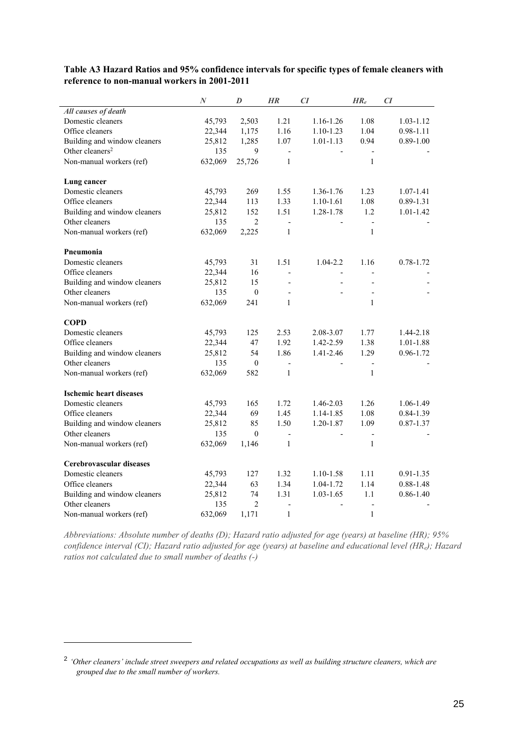|                                | $\boldsymbol{N}$ | D                | <b>HR</b>                | CI                       | $HR_e$                   | CI            |
|--------------------------------|------------------|------------------|--------------------------|--------------------------|--------------------------|---------------|
| All causes of death            |                  |                  |                          |                          |                          |               |
| Domestic cleaners              | 45,793           | 2,503            | 1.21                     | 1.16-1.26                | 1.08                     | 1.03-1.12     |
| Office cleaners                | 22,344           | 1,175            | 1.16                     | $1.10 - 1.23$            | 1.04                     | $0.98 - 1.11$ |
| Building and window cleaners   | 25,812           | 1,285            | 1.07                     | $1.01 - 1.13$            | 0.94                     | $0.89 - 1.00$ |
| Other cleaners <sup>2</sup>    | 135              | 9                | $\overline{\phantom{a}}$ |                          | $\overline{\phantom{a}}$ |               |
| Non-manual workers (ref)       | 632,069          | 25,726           | $\mathbf{1}$             |                          | $\mathbf{1}$             |               |
|                                |                  |                  |                          |                          |                          |               |
| Lung cancer                    |                  |                  |                          |                          |                          |               |
| Domestic cleaners              | 45,793           | 269              | 1.55                     | 1.36-1.76                | 1.23                     | 1.07-1.41     |
| Office cleaners                | 22,344           | 113              | 1.33                     | $1.10 - 1.61$            | 1.08                     | $0.89 - 1.31$ |
| Building and window cleaners   | 25,812           | 152              | 1.51                     | 1.28-1.78                | 1.2                      | $1.01 - 1.42$ |
| Other cleaners                 | 135              | $\overline{2}$   | $\overline{a}$           |                          | $\frac{1}{2}$            |               |
| Non-manual workers (ref)       | 632,069          | 2,225            | $\mathbf{1}$             |                          | $\mathbf{1}$             |               |
| Pneumonia                      |                  |                  |                          |                          |                          |               |
| Domestic cleaners              | 45,793           | 31               | 1.51                     | $1.04 - 2.2$             | 1.16                     | 0.78-1.72     |
| Office cleaners                | 22,344           | 16               | $\overline{a}$           | $\overline{\phantom{a}}$ | $\overline{a}$           |               |
| Building and window cleaners   | 25,812           | 15               |                          |                          |                          |               |
| Other cleaners                 | 135              | $\boldsymbol{0}$ |                          |                          |                          |               |
|                                |                  |                  | $\mathbf{1}$             |                          | $\mathbf{1}$             |               |
| Non-manual workers (ref)       | 632,069          | 241              |                          |                          |                          |               |
| <b>COPD</b>                    |                  |                  |                          |                          |                          |               |
| Domestic cleaners              | 45,793           | 125              | 2.53                     | 2.08-3.07                | 1.77                     | 1.44-2.18     |
| Office cleaners                | 22,344           | 47               | 1.92                     | 1.42-2.59                | 1.38                     | 1.01-1.88     |
| Building and window cleaners   | 25,812           | 54               | 1.86                     | 1.41-2.46                | 1.29                     | 0.96-1.72     |
| Other cleaners                 | 135              | $\boldsymbol{0}$ |                          |                          | $\overline{a}$           |               |
| Non-manual workers (ref)       | 632,069          | 582              | $\mathbf{1}$             |                          | $\mathbf{1}$             |               |
|                                |                  |                  |                          |                          |                          |               |
| <b>Ischemic heart diseases</b> |                  |                  |                          |                          |                          |               |
| Domestic cleaners              | 45,793           | 165              | 1.72                     | 1.46-2.03                | 1.26                     | 1.06-1.49     |
| Office cleaners                | 22,344           | 69               | 1.45                     | 1.14-1.85                | 1.08                     | $0.84 - 1.39$ |
| Building and window cleaners   | 25,812           | 85               | 1.50                     | 1.20-1.87                | 1.09                     | $0.87 - 1.37$ |
| Other cleaners                 | 135              | $\theta$         | $\blacksquare$           |                          | $\overline{\phantom{a}}$ |               |
| Non-manual workers (ref)       | 632,069          | 1,146            | $\mathbf{1}$             |                          | $\mathbf{1}$             |               |
| Cerebrovascular diseases       |                  |                  |                          |                          |                          |               |
| Domestic cleaners              | 45,793           | 127              | 1.32                     | 1.10-1.58                | 1.11                     | $0.91 - 1.35$ |
| Office cleaners                | 22,344           | 63               | 1.34                     | 1.04-1.72                | 1.14                     | $0.88 - 1.48$ |
| Building and window cleaners   | 25,812           | 74               | 1.31                     | $1.03 - 1.65$            | 1.1                      | $0.86 - 1.40$ |
| Other cleaners                 | 135              | $\overline{2}$   |                          |                          | $\overline{a}$           |               |
| Non-manual workers (ref)       | 632,069          | 1,171            | $\mathbf{1}$             |                          | $\mathbf{1}$             |               |

#### **Table A3 Hazard Ratios and 95% confidence intervals for specific types of female cleaners with reference to non-manual workers in 2001-2011**

*Abbreviations: Absolute number of deaths (D); Hazard ratio adjusted for age (years) at baseline (HR); 95% confidence interval (CI); Hazard ratio adjusted for age (years) at baseline and educational level (HRe); Hazard ratios not calculated due to small number of deaths (-)*

<sup>&</sup>lt;sup>2</sup> 'Other cleaners' include street sweepers and related occupations as well as building structure cleaners, which are *grouped due to the small number of workers.*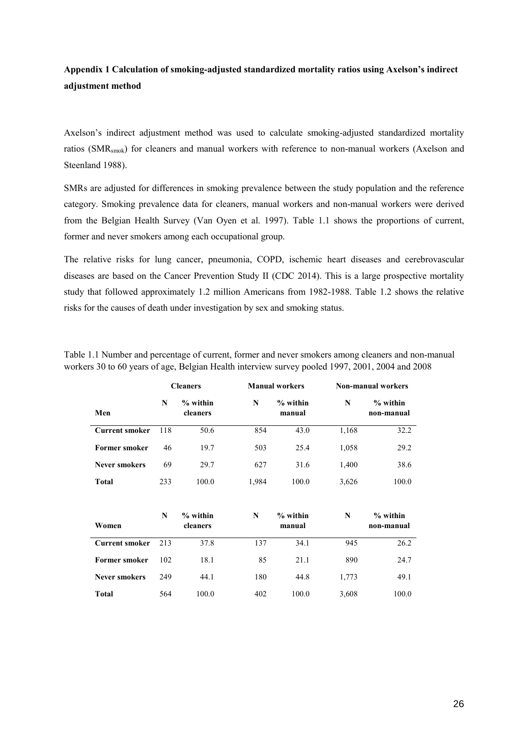# **Appendix 1 Calculation of smoking-adjusted standardized mortality ratios using Axelson's indirect adjustment method**

Axelson's indirect adjustment method was used to calculate smoking-adjusted standardized mortality ratios (SMRsmok) for cleaners and manual workers with reference to non-manual workers (Axelson and Steenland 1988).

SMRs are adjusted for differences in smoking prevalence between the study population and the reference category. Smoking prevalence data for cleaners, manual workers and non-manual workers were derived from the Belgian Health Survey (Van Oyen et al. 1997). Table 1.1 shows the proportions of current, former and never smokers among each occupational group.

The relative risks for lung cancer, pneumonia, COPD, ischemic heart diseases and cerebrovascular diseases are based on the Cancer Prevention Study II (CDC 2014). This is a large prospective mortality study that followed approximately 1.2 million Americans from 1982-1988. Table 1.2 shows the relative risks for the causes of death under investigation by sex and smoking status.

|                       |     | <b>Cleaners</b>        |       | <b>Manual workers</b> | <b>Non-manual workers</b> |                          |  |  |
|-----------------------|-----|------------------------|-------|-----------------------|---------------------------|--------------------------|--|--|
| Men                   | N   | $%$ within<br>cleaners | N     | $%$ within<br>manual  | N                         | $%$ within<br>non-manual |  |  |
| <b>Current smoker</b> | 118 | 50.6                   | 854   | 43.0                  | 1,168                     | 32.2                     |  |  |
| <b>Former smoker</b>  | 46  | 19.7                   | 503   | 25.4                  | 1,058                     | 29.2                     |  |  |
| <b>Never smokers</b>  | 69  | 29.7                   | 627   | 31.6                  | 1,400                     | 38.6                     |  |  |
| <b>Total</b>          | 233 | 100.0                  | 1,984 | 100.0                 | 3,626                     | 100.0                    |  |  |
|                       |     |                        |       |                       |                           |                          |  |  |
| Women                 | N   | $%$ within<br>cleaners | N     | $%$ within<br>manual  | N                         | % within<br>non-manual   |  |  |
| <b>Current smoker</b> | 213 | 37.8                   | 137   | 34.1                  | 945                       | 26.2                     |  |  |
| <b>Former smoker</b>  | 102 | 18.1                   | 85    | 21.1                  | 890                       | 24.7                     |  |  |
| <b>Never smokers</b>  | 249 | 44.1                   | 180   | 44.8                  | 1,773                     | 49.1                     |  |  |
| <b>Total</b>          | 564 | 100.0                  | 402   | 100.0                 | 3,608                     | 100.0                    |  |  |

Table 1.1 Number and percentage of current, former and never smokers among cleaners and non-manual workers 30 to 60 years of age, Belgian Health interview survey pooled 1997, 2001, 2004 and 2008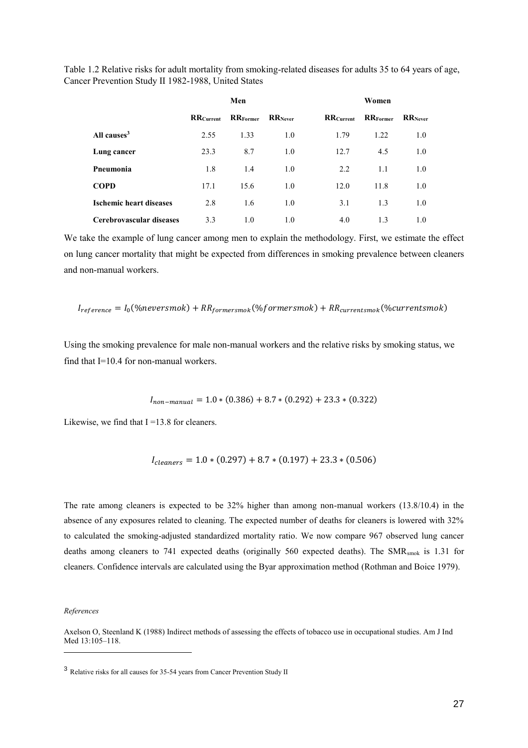Table 1.2 Relative risks for adult mortality from smoking-related diseases for adults 35 to 64 years of age, Cancer Prevention Study II 1982-1988, United States

|                                |                  | Men             |                 | Women             |                 |                 |  |  |
|--------------------------------|------------------|-----------------|-----------------|-------------------|-----------------|-----------------|--|--|
|                                | <b>RRCurrent</b> | <b>RRFormer</b> | <b>RR</b> Never | <b>RR</b> Current | <b>RRFormer</b> | <b>RR</b> Never |  |  |
| All causes <sup>3</sup>        | 2.55             | 1.33            | 1.0             | 1.79              | 1.22            | 1.0             |  |  |
| Lung cancer                    | 23.3             | 8.7             | 1.0             | 12.7              | 4.5             | 1.0             |  |  |
| Pneumonia                      | 1.8              | 1.4             | 1.0             | 2.2               | 1.1             | 1.0             |  |  |
| <b>COPD</b>                    | 17.1             | 15.6            | 1.0             | 12.0              | 11.8            | 1.0             |  |  |
| <b>Ischemic heart diseases</b> | 2.8              | 1.6             | 1.0             | 3.1               | 1.3             | 1.0             |  |  |
| Cerebrovascular diseases       | 3.3              | 1.0             | 1.0             | 4.0               | 1.3             | 1.0             |  |  |

We take the example of lung cancer among men to explain the methodology. First, we estimate the effect on lung cancer mortality that might be expected from differences in smoking prevalence between cleaners and non-manual workers.

$$
I_{reference} = I_0(\%neversmok) + RR_{formersmok}(\%formersmok) + RR_{currentsmok}(\%currentsmok)
$$

Using the smoking prevalence for male non-manual workers and the relative risks by smoking status, we find that I=10.4 for non-manual workers.

 $I_{non-manual} = 1.0 * (0.386) + 8.7 * (0.292) + 23.3 * (0.322)$ 

Likewise, we find that  $I = 13.8$  for cleaners.

$$
I_{cleaners} = 1.0 * (0.297) + 8.7 * (0.197) + 23.3 * (0.506)
$$

The rate among cleaners is expected to be 32% higher than among non-manual workers (13.8/10.4) in the absence of any exposures related to cleaning. The expected number of deaths for cleaners is lowered with 32% to calculated the smoking-adjusted standardized mortality ratio. We now compare 967 observed lung cancer deaths among cleaners to 741 expected deaths (originally 560 expected deaths). The SMR<sub>smok</sub> is 1.31 for cleaners. Confidence intervals are calculated using the Byar approximation method (Rothman and Boice 1979).

*References* 

Axelson O, Steenland K (1988) Indirect methods of assessing the effects of tobacco use in occupational studies. Am J Ind Med 13:105–118.

<sup>3</sup> Relative risks for all causes for 35-54 years from Cancer Prevention Study II